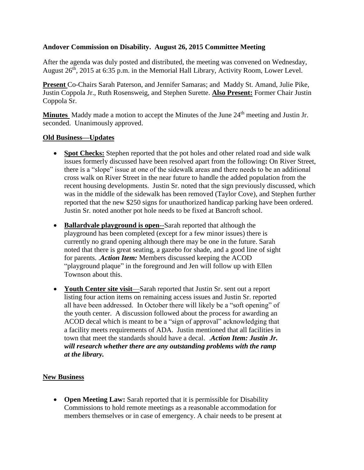## **Andover Commission on Disability. August 26, 2015 Committee Meeting**

After the agenda was duly posted and distributed, the meeting was convened on Wednesday, August 26<sup>th</sup>, 2015 at 6:35 p.m. in the Memorial Hall Library, Activity Room, Lower Level.

**Present** Co-Chairs Sarah Paterson, and Jennifer Samaras; and Maddy St. Amand, Julie Pike, Justin Coppola Jr., Ruth Rosensweig, and Stephen Surette. **Also Present:** Former Chair Justin Coppola Sr.

**Minutes** Maddy made a motion to accept the Minutes of the June 24<sup>th</sup> meeting and Justin Jr. seconded. Unanimously approved.

## **Old Business—Updates**

- **Spot Checks:** Stephen reported that the pot holes and other related road and side walk issues formerly discussed have been resolved apart from the following**:** On River Street, there is a "slope" issue at one of the sidewalk areas and there needs to be an additional cross walk on River Street in the near future to handle the added population from the recent housing developments. Justin Sr. noted that the sign previously discussed, which was in the middle of the sidewalk has been removed (Taylor Cove), and Stephen further reported that the new \$250 signs for unauthorized handicap parking have been ordered. Justin Sr. noted another pot hole needs to be fixed at Bancroft school.
- **Ballardvale playground is open**--Sarah reported that although the playground has been completed (except for a few minor issues) there is currently no grand opening although there may be one in the future. Sarah noted that there is great seating, a gazebo for shade, and a good line of sight for parents. .*Action Item:* Members discussed keeping the ACOD "playground plaque" in the foreground and Jen will follow up with Ellen Townson about this.
- **Youth Center site visit**—Sarah reported that Justin Sr. sent out a report listing four action items on remaining access issues and Justin Sr. reported all have been addressed. In October there will likely be a "soft opening" of the youth center. A discussion followed about the process for awarding an ACOD decal which is meant to be a "sign of approval" acknowledging that a facility meets requirements of ADA. Justin mentioned that all facilities in town that meet the standards should have a decal. .*Action Item: Justin Jr. will research whether there are any outstanding problems with the ramp at the library.*

## **New Business**

• **Open Meeting Law:** Sarah reported that it is permissible for Disability Commissions to hold remote meetings as a reasonable accommodation for members themselves or in case of emergency. A chair needs to be present at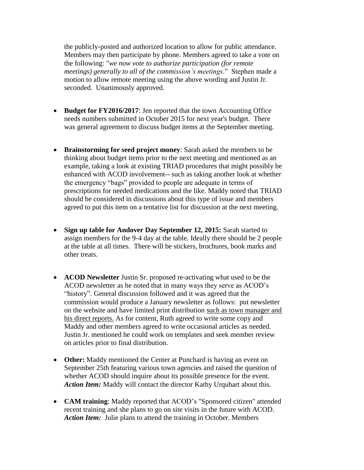the publicly-posted and authorized location to allow for public attendance. Members may then participate by phone. Members agreed to take a vote on the following: "*we now vote to authorize participation (for remote meetings) generally to all of the commission's meetings*." Stephen made a motion to allow remote meeting using the above wording and Justin Jr. seconded. Unanimously approved.

- Budget for FY2016/2017: Jen reported that the town Accounting Office needs numbers submitted in October 2015 for next year's budget. There was general agreement to discuss budget items at the September meeting.
- **Brainstorming for seed project money**: Sarah asked the members to be thinking about budget items prior to the next meeting and mentioned as an example, taking a look at existing TRIAD procedures that might possibly be enhanced with ACOD involvement-- such as taking another look at whether the emergency "bags" provided to people are adequate in terms of prescriptions for needed medications and the like. Maddy noted that TRIAD should be considered in discussions about this type of issue and members agreed to put this item on a tentative list for discussion at the next meeting.
- **Sign up table for Andover Day September 12, 2015:** Sarah started to assign members for the 9-4 day at the table. Ideally there should be 2 people at the table at all times. There will be stickers, brochures, book marks and other treats.
- **ACOD Newsletter** Justin Sr. proposed re-activating what used to be the ACOD newsletter as he noted that in many ways they serve as ACOD's "history". General discussion followed and it was agreed that the commission would produce a January newsletter as follows: put newsletter on the website and have limited print distribution such as town manager and his direct reports. As for content, Ruth agreed to write some copy and Maddy and other members agreed to write occasional articles as needed. Justin Jr. mentioned he could work on templates and seek member review on articles prior to final distribution.
- Other: Maddy mentioned the Center at Punchard is having an event on September 25th featuring various town agencies and raised the question of whether ACOD should inquire about its possible presence for the event. *Action Item:* Maddy will contact the director Kathy Urquhart about this.
- **CAM training**: Maddy reported that ACOD's "Sponsored citizen" attended recent training and she plans to go on site visits in the future with ACOD. *Action Item:* Julie plans to attend the training in October. Members